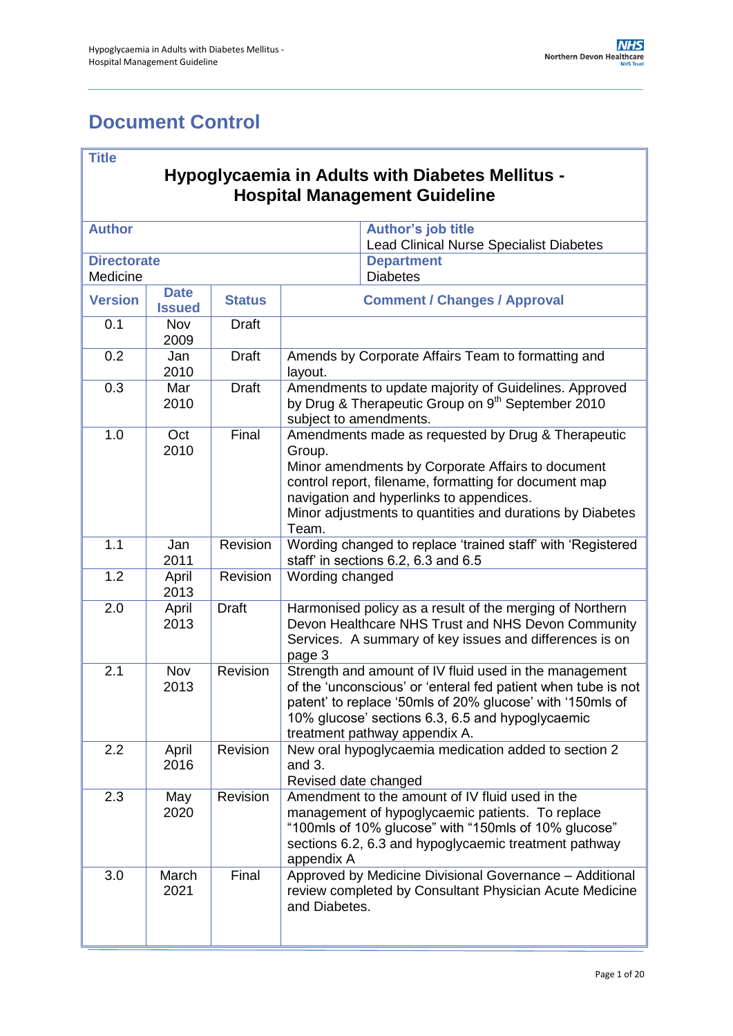# <span id="page-0-0"></span>**Document Control**

### **Title**

### **Hypoglycaemia in Adults with Diabetes Mellitus - Hospital Management Guideline**

| <b>Author</b>                  |                              |               |                                                                                                                                                                                                                                                                                              | <b>Author's job title</b><br><b>Lead Clinical Nurse Specialist Diabetes</b>                                                                                                                                                                                               |  |
|--------------------------------|------------------------------|---------------|----------------------------------------------------------------------------------------------------------------------------------------------------------------------------------------------------------------------------------------------------------------------------------------------|---------------------------------------------------------------------------------------------------------------------------------------------------------------------------------------------------------------------------------------------------------------------------|--|
| <b>Directorate</b><br>Medicine |                              |               | <b>Department</b><br><b>Diabetes</b>                                                                                                                                                                                                                                                         |                                                                                                                                                                                                                                                                           |  |
| <b>Version</b>                 | <b>Date</b><br><b>Issued</b> | <b>Status</b> |                                                                                                                                                                                                                                                                                              | <b>Comment / Changes / Approval</b>                                                                                                                                                                                                                                       |  |
| 0.1                            | Nov<br>2009                  | <b>Draft</b>  |                                                                                                                                                                                                                                                                                              |                                                                                                                                                                                                                                                                           |  |
| 0.2                            | Jan<br>2010                  | <b>Draft</b>  | layout.                                                                                                                                                                                                                                                                                      | Amends by Corporate Affairs Team to formatting and                                                                                                                                                                                                                        |  |
| 0.3                            | Mar<br>2010                  | <b>Draft</b>  | subject to amendments.                                                                                                                                                                                                                                                                       | Amendments to update majority of Guidelines. Approved<br>by Drug & Therapeutic Group on 9 <sup>th</sup> September 2010                                                                                                                                                    |  |
| 1.0                            | Oct<br>2010                  | Final         | Amendments made as requested by Drug & Therapeutic<br>Group.<br>Minor amendments by Corporate Affairs to document<br>control report, filename, formatting for document map<br>navigation and hyperlinks to appendices.<br>Minor adjustments to quantities and durations by Diabetes<br>Team. |                                                                                                                                                                                                                                                                           |  |
| 1.1                            | Jan<br>2011                  | Revision      | Wording changed to replace 'trained staff' with 'Registered<br>staff' in sections 6.2, 6.3 and 6.5                                                                                                                                                                                           |                                                                                                                                                                                                                                                                           |  |
| 1.2                            | April<br>2013                | Revision      | Wording changed                                                                                                                                                                                                                                                                              |                                                                                                                                                                                                                                                                           |  |
| 2.0                            | April<br>2013                | <b>Draft</b>  | page 3                                                                                                                                                                                                                                                                                       | Harmonised policy as a result of the merging of Northern<br>Devon Healthcare NHS Trust and NHS Devon Community<br>Services. A summary of key issues and differences is on                                                                                                 |  |
| 2.1                            | Nov<br>2013                  | Revision      |                                                                                                                                                                                                                                                                                              | Strength and amount of IV fluid used in the management<br>of the 'unconscious' or 'enteral fed patient when tube is not<br>patent' to replace '50mls of 20% glucose' with '150mls of<br>10% glucose' sections 6.3, 6.5 and hypoglycaemic<br>treatment pathway appendix A. |  |
| 2.2                            | April<br>2016                | Revision      | and 3.<br>Revised date changed                                                                                                                                                                                                                                                               | New oral hypoglycaemia medication added to section 2                                                                                                                                                                                                                      |  |
| 2.3                            | May<br>2020                  | Revision      | appendix A                                                                                                                                                                                                                                                                                   | Amendment to the amount of IV fluid used in the<br>management of hypoglycaemic patients. To replace<br>"100mls of 10% glucose" with "150mls of 10% glucose"<br>sections 6.2, 6.3 and hypoglycaemic treatment pathway                                                      |  |
| 3.0                            | March<br>2021                | Final         | and Diabetes.                                                                                                                                                                                                                                                                                | Approved by Medicine Divisional Governance - Additional<br>review completed by Consultant Physician Acute Medicine                                                                                                                                                        |  |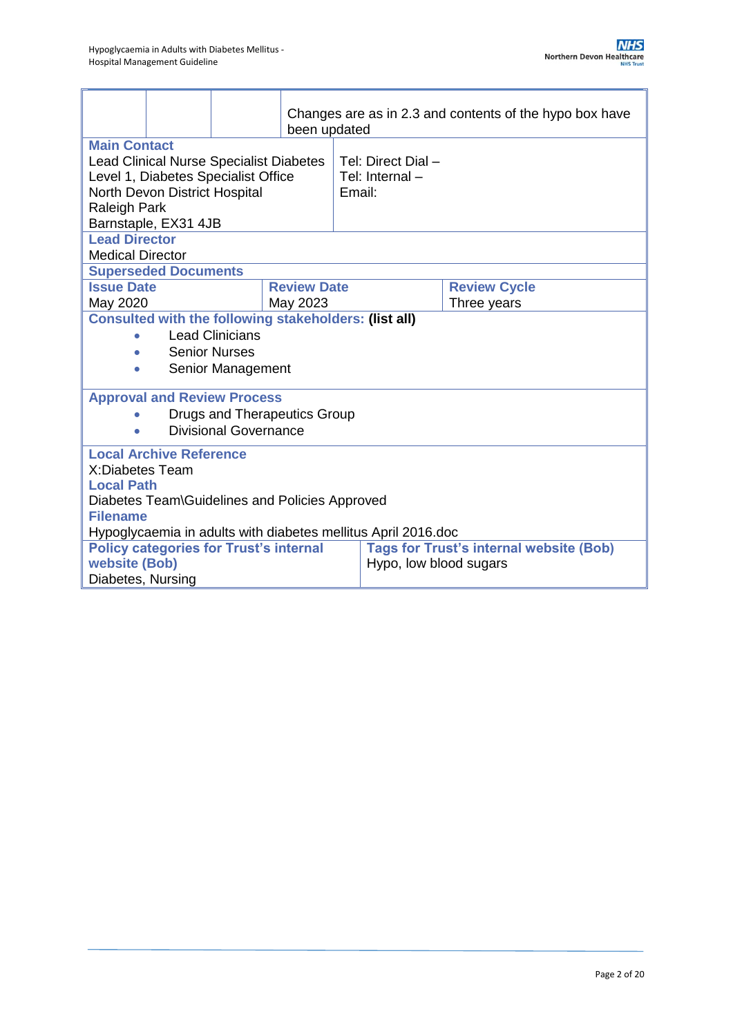|                                                                                                                                                                                              |                                                              |                                                | been updated       |                                                               | Changes are as in 2.3 and contents of the hypo box have |
|----------------------------------------------------------------------------------------------------------------------------------------------------------------------------------------------|--------------------------------------------------------------|------------------------------------------------|--------------------|---------------------------------------------------------------|---------------------------------------------------------|
| <b>Main Contact</b><br><b>Lead Clinical Nurse Specialist Diabetes</b><br>Level 1, Diabetes Specialist Office<br>North Devon District Hospital<br><b>Raleigh Park</b><br>Barnstaple, EX31 4JB |                                                              | Tel: Direct Dial -<br>Tel: Internal-<br>Email: |                    |                                                               |                                                         |
| <b>Lead Director</b><br><b>Medical Director</b>                                                                                                                                              |                                                              |                                                |                    |                                                               |                                                         |
|                                                                                                                                                                                              | <b>Superseded Documents</b>                                  |                                                |                    |                                                               |                                                         |
| <b>Issue Date</b>                                                                                                                                                                            |                                                              |                                                | <b>Review Date</b> |                                                               | <b>Review Cycle</b>                                     |
| May 2020                                                                                                                                                                                     |                                                              |                                                | May 2023           |                                                               | Three years                                             |
|                                                                                                                                                                                              | <b>Consulted with the following stakeholders: (list all)</b> |                                                |                    |                                                               |                                                         |
|                                                                                                                                                                                              | <b>Lead Clinicians</b>                                       |                                                |                    |                                                               |                                                         |
| <b>Senior Nurses</b>                                                                                                                                                                         |                                                              |                                                |                    |                                                               |                                                         |
| Senior Management<br>$\bullet$                                                                                                                                                               |                                                              |                                                |                    |                                                               |                                                         |
|                                                                                                                                                                                              |                                                              | <b>Approval and Review Process</b>             |                    |                                                               |                                                         |
|                                                                                                                                                                                              | Drugs and Therapeutics Group                                 |                                                |                    |                                                               |                                                         |
|                                                                                                                                                                                              | <b>Divisional Governance</b>                                 |                                                |                    |                                                               |                                                         |
| <b>Local Archive Reference</b>                                                                                                                                                               |                                                              |                                                |                    |                                                               |                                                         |
|                                                                                                                                                                                              | X:Diabetes Team                                              |                                                |                    |                                                               |                                                         |
| <b>Local Path</b>                                                                                                                                                                            |                                                              |                                                |                    |                                                               |                                                         |
| Diabetes Team\Guidelines and Policies Approved                                                                                                                                               |                                                              |                                                |                    |                                                               |                                                         |
| <b>Filename</b>                                                                                                                                                                              |                                                              |                                                |                    |                                                               |                                                         |
|                                                                                                                                                                                              |                                                              |                                                |                    | Hypoglycaemia in adults with diabetes mellitus April 2016.doc |                                                         |
|                                                                                                                                                                                              |                                                              | <b>Policy categories for Trust's internal</b>  |                    |                                                               | <b>Tags for Trust's internal website (Bob)</b>          |
| website (Bob)                                                                                                                                                                                |                                                              |                                                |                    |                                                               | Hypo, low blood sugars                                  |
| Diabetes, Nursing                                                                                                                                                                            |                                                              |                                                |                    |                                                               |                                                         |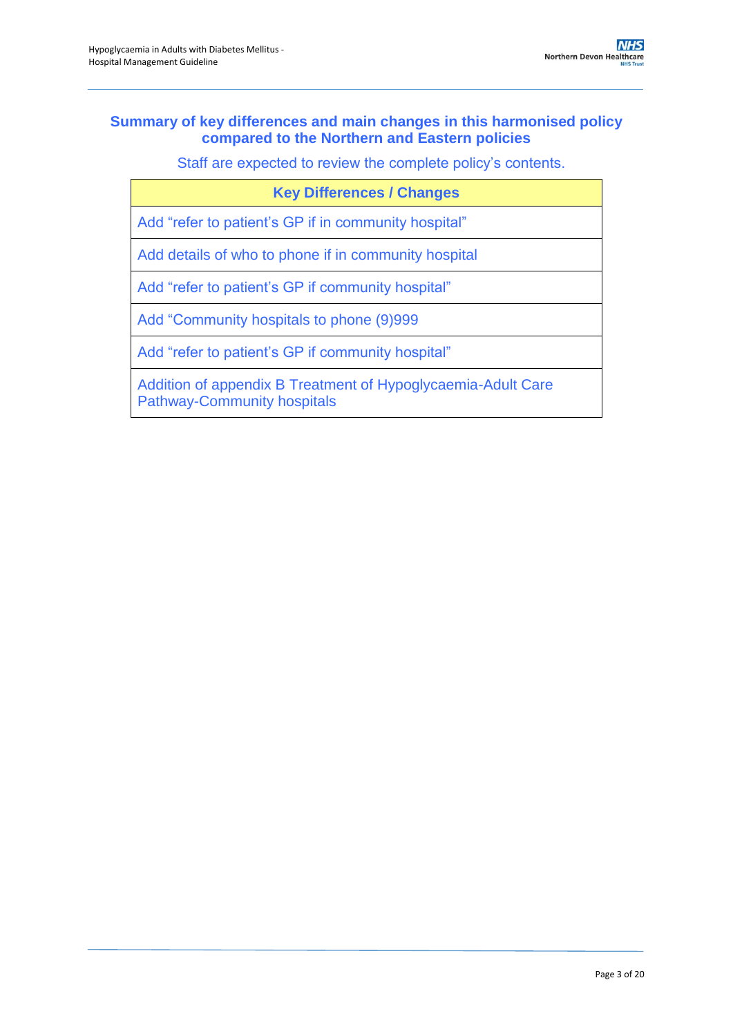### **Summary of key differences and main changes in this harmonised policy compared to the Northern and Eastern policies**

Staff are expected to review the complete policy's contents.

| <b>Key Differences / Changes</b>                                                                   |
|----------------------------------------------------------------------------------------------------|
| Add "refer to patient's GP if in community hospital"                                               |
| Add details of who to phone if in community hospital                                               |
| Add "refer to patient's GP if community hospital"                                                  |
| Add "Community hospitals to phone (9)999                                                           |
| Add "refer to patient's GP if community hospital"                                                  |
| Addition of appendix B Treatment of Hypoglycaemia-Adult Care<br><b>Pathway-Community hospitals</b> |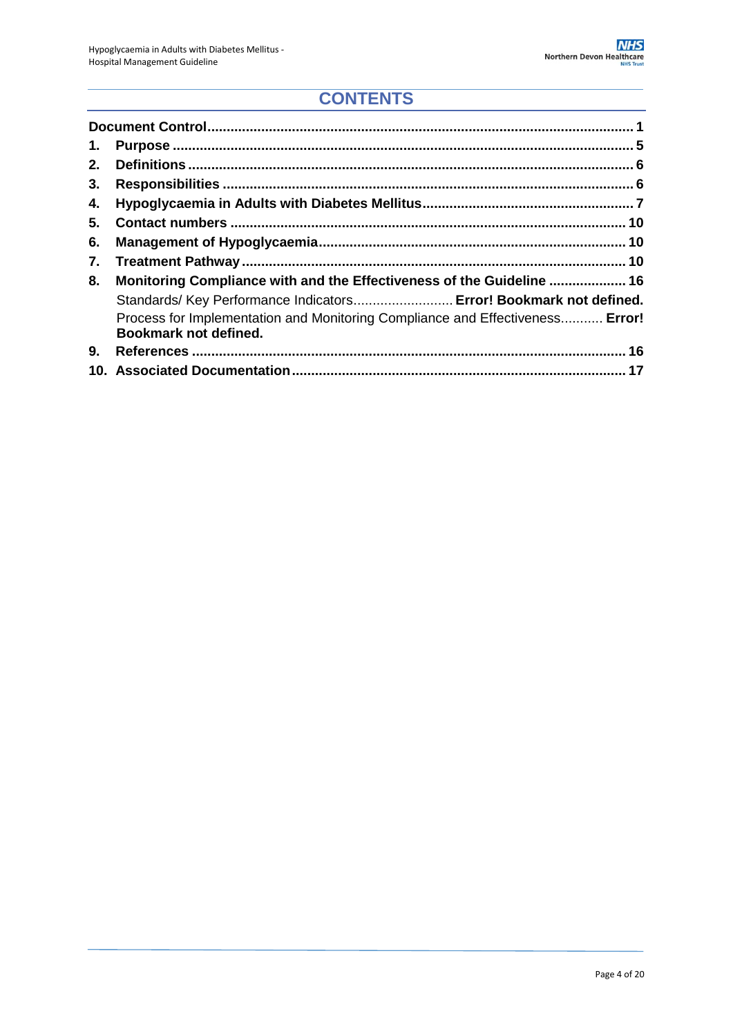# **CONTENTS**

| 1. |                                                                                                        |
|----|--------------------------------------------------------------------------------------------------------|
| 2. |                                                                                                        |
| 3. |                                                                                                        |
| 4. |                                                                                                        |
| 5. |                                                                                                        |
| 6. |                                                                                                        |
| 7. |                                                                                                        |
| 8. | Monitoring Compliance with and the Effectiveness of the Guideline  16                                  |
|    | Standards/Key Performance Indicators Error! Bookmark not defined.                                      |
|    | Process for Implementation and Monitoring Compliance and Effectiveness Error!<br>Bookmark not defined. |
| 9. |                                                                                                        |
|    |                                                                                                        |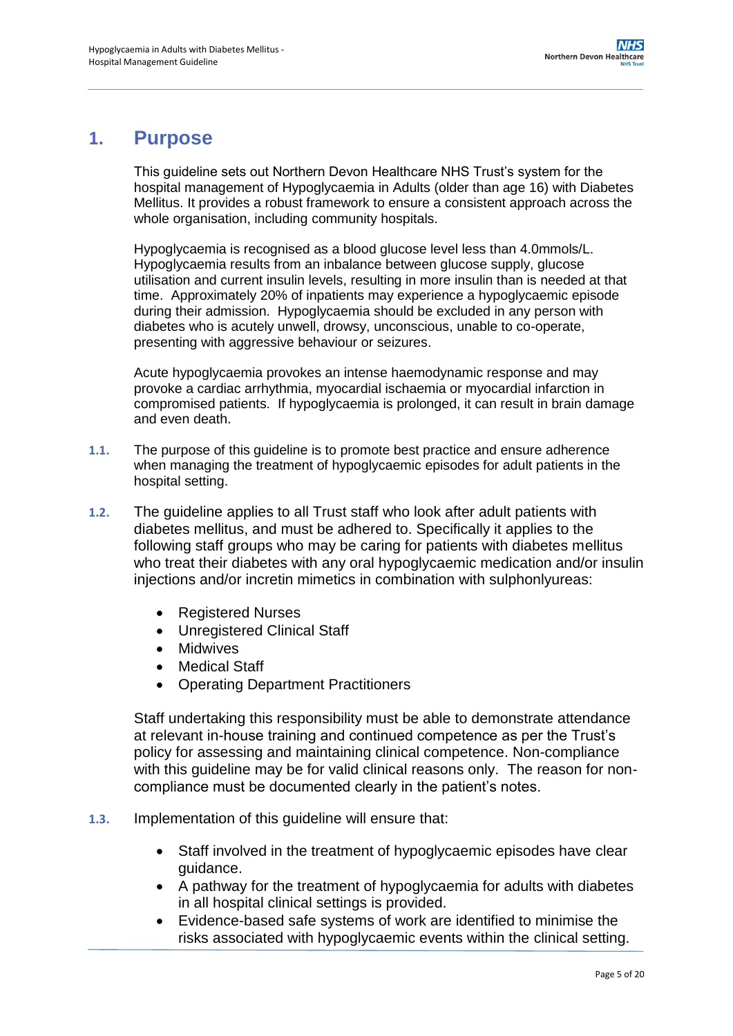### <span id="page-4-0"></span>**1. Purpose**

This guideline sets out Northern Devon Healthcare NHS Trust's system for the hospital management of Hypoglycaemia in Adults (older than age 16) with Diabetes Mellitus. It provides a robust framework to ensure a consistent approach across the whole organisation, including community hospitals.

Hypoglycaemia is recognised as a blood glucose level less than 4.0mmols/L. Hypoglycaemia results from an inbalance between glucose supply, glucose utilisation and current insulin levels, resulting in more insulin than is needed at that time. Approximately 20% of inpatients may experience a hypoglycaemic episode during their admission. Hypoglycaemia should be excluded in any person with diabetes who is acutely unwell, drowsy, unconscious, unable to co-operate, presenting with aggressive behaviour or seizures.

Acute hypoglycaemia provokes an intense haemodynamic response and may provoke a cardiac arrhythmia, myocardial ischaemia or myocardial infarction in compromised patients. If hypoglycaemia is prolonged, it can result in brain damage and even death.

- **1.1.** The purpose of this guideline is to promote best practice and ensure adherence when managing the treatment of hypoglycaemic episodes for adult patients in the hospital setting.
- **1.2.** The guideline applies to all Trust staff who look after adult patients with diabetes mellitus, and must be adhered to. Specifically it applies to the following staff groups who may be caring for patients with diabetes mellitus who treat their diabetes with any oral hypoglycaemic medication and/or insulin injections and/or incretin mimetics in combination with sulphonlyureas:
	- Registered Nurses
	- Unregistered Clinical Staff
	- Midwives
	- Medical Staff
	- Operating Department Practitioners

Staff undertaking this responsibility must be able to demonstrate attendance at relevant in-house training and continued competence as per the Trust's policy for assessing and maintaining clinical competence. Non-compliance with this guideline may be for valid clinical reasons only. The reason for noncompliance must be documented clearly in the patient's notes.

- **1.3.** Implementation of this guideline will ensure that:
	- Staff involved in the treatment of hypoglycaemic episodes have clear guidance.
	- A pathway for the treatment of hypoglycaemia for adults with diabetes in all hospital clinical settings is provided.
	- Evidence-based safe systems of work are identified to minimise the risks associated with hypoglycaemic events within the clinical setting.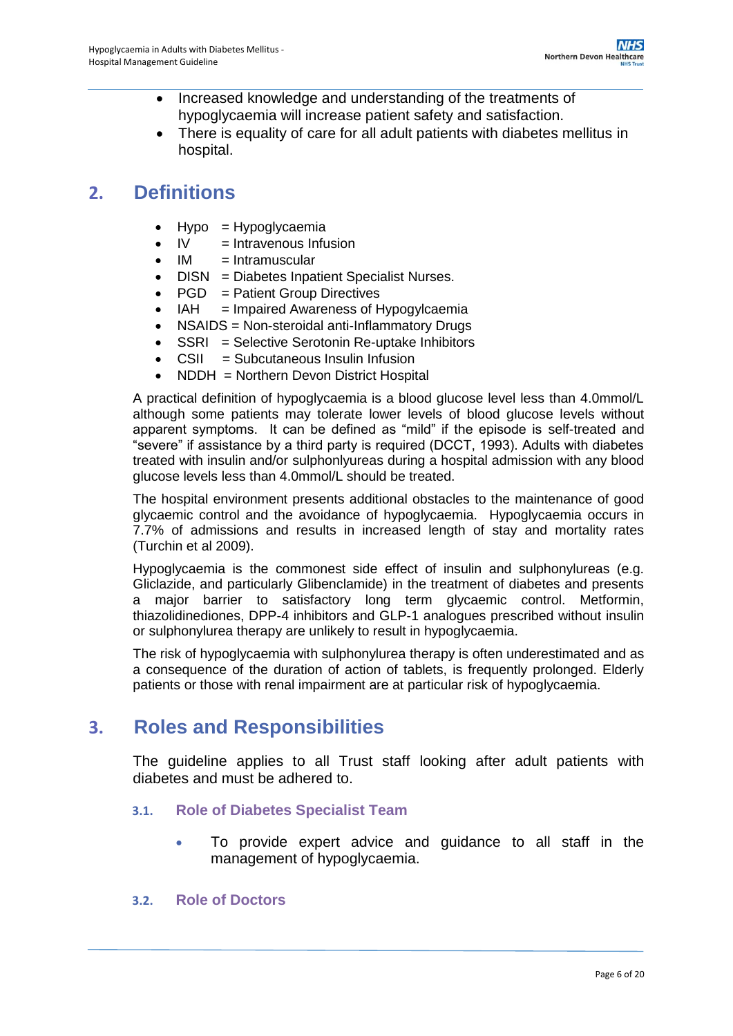- Increased knowledge and understanding of the treatments of hypoglycaemia will increase patient safety and satisfaction.
- There is equality of care for all adult patients with diabetes mellitus in hospital.

# <span id="page-5-0"></span>**2. Definitions**

- Hypo = Hypoglycaemia
- $\bullet$  IV  $=$  Intravenous Infusion
- $\bullet$  IM  $=$  Intramuscular
- DISN = Diabetes Inpatient Specialist Nurses.
- $\bullet$  PGD = Patient Group Directives
- IAH = Impaired Awareness of Hypogylcaemia
- NSAIDS = Non-steroidal anti-Inflammatory Drugs
- SSRI = Selective Serotonin Re-uptake Inhibitors
- CSII = Subcutaneous Insulin Infusion
- NDDH = Northern Devon District Hospital

A practical definition of hypoglycaemia is a blood glucose level less than 4.0mmol/L although some patients may tolerate lower levels of blood glucose levels without apparent symptoms. It can be defined as "mild" if the episode is self-treated and "severe" if assistance by a third party is required (DCCT, 1993). Adults with diabetes treated with insulin and/or sulphonlyureas during a hospital admission with any blood glucose levels less than 4.0mmol/L should be treated.

The hospital environment presents additional obstacles to the maintenance of good glycaemic control and the avoidance of hypoglycaemia. Hypoglycaemia occurs in 7.7% of admissions and results in increased length of stay and mortality rates (Turchin et al 2009).

Hypoglycaemia is the commonest side effect of insulin and sulphonylureas (e.g. Gliclazide, and particularly Glibenclamide) in the treatment of diabetes and presents a major barrier to satisfactory long term glycaemic control. Metformin, thiazolidinediones, DPP-4 inhibitors and GLP-1 analogues prescribed without insulin or sulphonylurea therapy are unlikely to result in hypoglycaemia.

The risk of hypoglycaemia with sulphonylurea therapy is often underestimated and as a consequence of the duration of action of tablets, is frequently prolonged. Elderly patients or those with renal impairment are at particular risk of hypoglycaemia.

## <span id="page-5-1"></span>**3. Roles and Responsibilities**

The guideline applies to all Trust staff looking after adult patients with diabetes and must be adhered to.

- **3.1. Role of Diabetes Specialist Team**
	- To provide expert advice and guidance to all staff in the management of hypoglycaemia.

#### **3.2. Role of Doctors**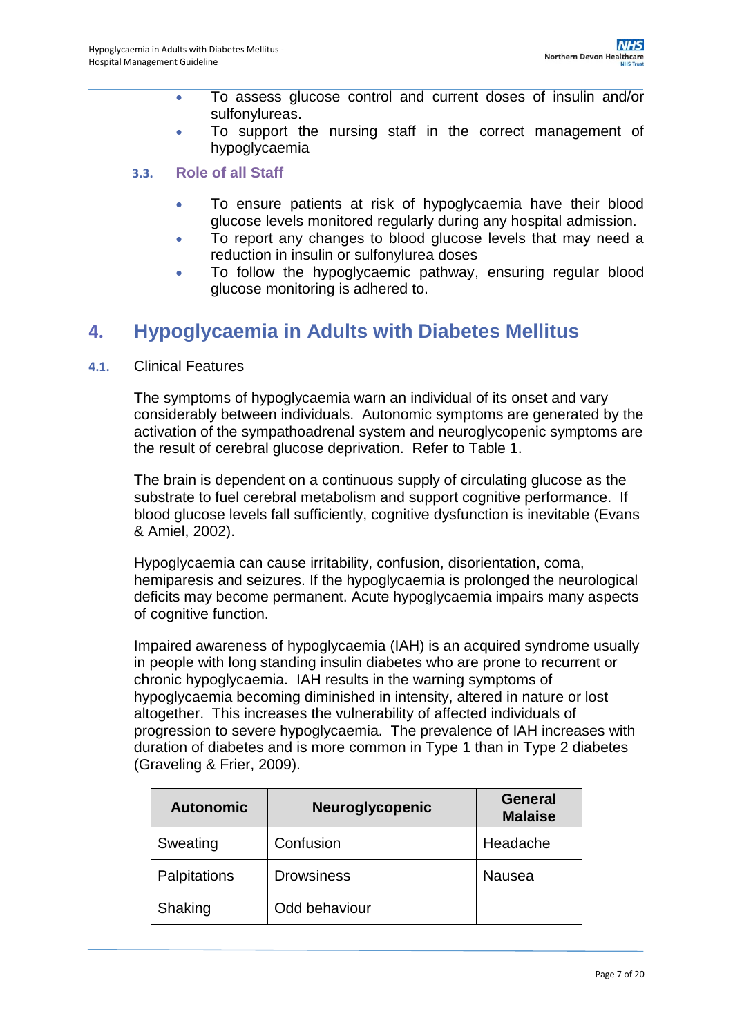- To assess glucose control and current doses of insulin and/or sulfonylureas.
- To support the nursing staff in the correct management of hypoglycaemia

### **3.3. Role of all Staff**

- To ensure patients at risk of hypoglycaemia have their blood glucose levels monitored regularly during any hospital admission.
- To report any changes to blood glucose levels that may need a reduction in insulin or sulfonylurea doses
- To follow the hypoglycaemic pathway, ensuring regular blood glucose monitoring is adhered to.

## <span id="page-6-0"></span>**4. Hypoglycaemia in Adults with Diabetes Mellitus**

#### **4.1.** Clinical Features

The symptoms of hypoglycaemia warn an individual of its onset and vary considerably between individuals. Autonomic symptoms are generated by the activation of the sympathoadrenal system and neuroglycopenic symptoms are the result of cerebral glucose deprivation. Refer to Table 1.

The brain is dependent on a continuous supply of circulating glucose as the substrate to fuel cerebral metabolism and support cognitive performance. If blood glucose levels fall sufficiently, cognitive dysfunction is inevitable (Evans & Amiel, 2002).

Hypoglycaemia can cause irritability, confusion, disorientation, coma, hemiparesis and seizures. If the hypoglycaemia is prolonged the neurological deficits may become permanent. Acute hypoglycaemia impairs many aspects of cognitive function.

Impaired awareness of hypoglycaemia (IAH) is an acquired syndrome usually in people with long standing insulin diabetes who are prone to recurrent or chronic hypoglycaemia. IAH results in the warning symptoms of hypoglycaemia becoming diminished in intensity, altered in nature or lost altogether. This increases the vulnerability of affected individuals of progression to severe hypoglycaemia. The prevalence of IAH increases with duration of diabetes and is more common in Type 1 than in Type 2 diabetes (Graveling & Frier, 2009).

| <b>Autonomic</b> | <b>Neuroglycopenic</b> | <b>General</b><br><b>Malaise</b> |
|------------------|------------------------|----------------------------------|
| Sweating         | Confusion              | Headache                         |
| Palpitations     | <b>Drowsiness</b>      | <b>Nausea</b>                    |
| Shaking          | Odd behaviour          |                                  |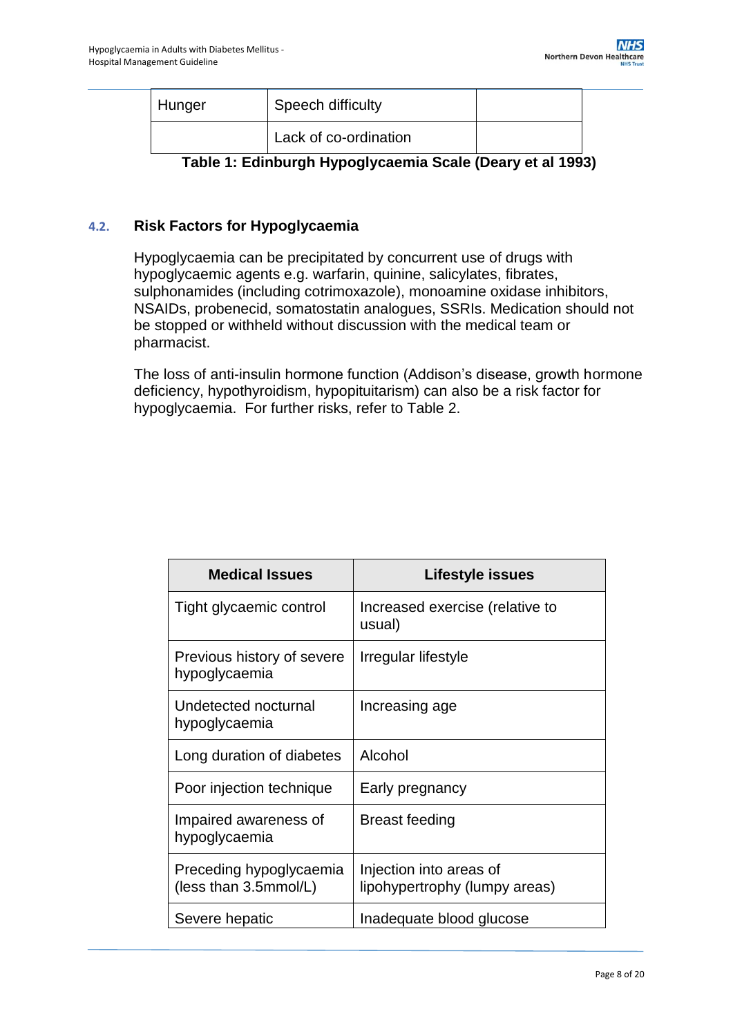| Hunger | Speech difficulty     |  |
|--------|-----------------------|--|
|        | Lack of co-ordination |  |

**Table 1: Edinburgh Hypoglycaemia Scale (Deary et al 1993)**

### **4.2. Risk Factors for Hypoglycaemia**

Hypoglycaemia can be precipitated by concurrent use of drugs with hypoglycaemic agents e.g. warfarin, quinine, salicylates, fibrates, sulphonamides (including cotrimoxazole), monoamine oxidase inhibitors, NSAIDs, probenecid, somatostatin analogues, SSRIs. Medication should not be stopped or withheld without discussion with the medical team or pharmacist.

The loss of anti-insulin hormone function (Addison's disease, growth hormone deficiency, hypothyroidism, hypopituitarism) can also be a risk factor for hypoglycaemia. For further risks, refer to Table 2.

| <b>Medical Issues</b>                            | Lifestyle issues                                         |
|--------------------------------------------------|----------------------------------------------------------|
| Tight glycaemic control                          | Increased exercise (relative to<br>usual)                |
| Previous history of severe<br>hypoglycaemia      | Irregular lifestyle                                      |
| Undetected nocturnal<br>hypoglycaemia            | Increasing age                                           |
| Long duration of diabetes                        | Alcohol                                                  |
| Poor injection technique                         | Early pregnancy                                          |
| Impaired awareness of<br>hypoglycaemia           | <b>Breast feeding</b>                                    |
| Preceding hypoglycaemia<br>(less than 3.5mmol/L) | Injection into areas of<br>lipohypertrophy (lumpy areas) |
| Severe hepatic                                   | Inadequate blood glucose                                 |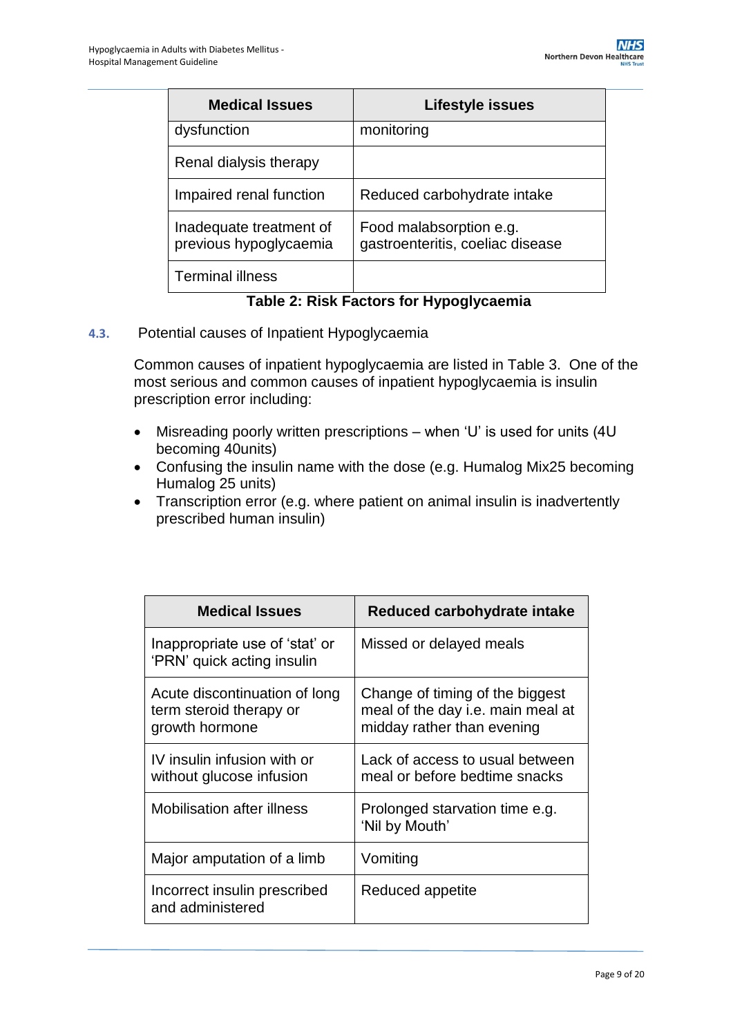| <b>Medical Issues</b>                             | Lifestyle issues                                            |
|---------------------------------------------------|-------------------------------------------------------------|
| dysfunction                                       | monitoring                                                  |
| Renal dialysis therapy                            |                                                             |
| Impaired renal function                           | Reduced carbohydrate intake                                 |
| Inadequate treatment of<br>previous hypoglycaemia | Food malabsorption e.g.<br>gastroenteritis, coeliac disease |
| <b>Terminal illness</b>                           |                                                             |

### **Table 2: Risk Factors for Hypoglycaemia**

**4.3.** Potential causes of Inpatient Hypoglycaemia

Common causes of inpatient hypoglycaemia are listed in Table 3. One of the most serious and common causes of inpatient hypoglycaemia is insulin prescription error including:

- Misreading poorly written prescriptions when 'U' is used for units (4U becoming 40units)
- Confusing the insulin name with the dose (e.g. Humalog Mix25 becoming Humalog 25 units)
- Transcription error (e.g. where patient on animal insulin is inadvertently prescribed human insulin)

| <b>Medical Issues</b>                                                      | Reduced carbohydrate intake                                                                        |
|----------------------------------------------------------------------------|----------------------------------------------------------------------------------------------------|
| Inappropriate use of 'stat' or<br>'PRN' quick acting insulin               | Missed or delayed meals                                                                            |
| Acute discontinuation of long<br>term steroid therapy or<br>growth hormone | Change of timing of the biggest<br>meal of the day i.e. main meal at<br>midday rather than evening |
| IV insulin infusion with or<br>without glucose infusion                    | Lack of access to usual between<br>meal or before bedtime snacks                                   |
| <b>Mobilisation after illness</b>                                          | Prolonged starvation time e.g.<br>'Nil by Mouth'                                                   |
| Major amputation of a limb                                                 | Vomiting                                                                                           |
| Incorrect insulin prescribed<br>and administered                           | Reduced appetite                                                                                   |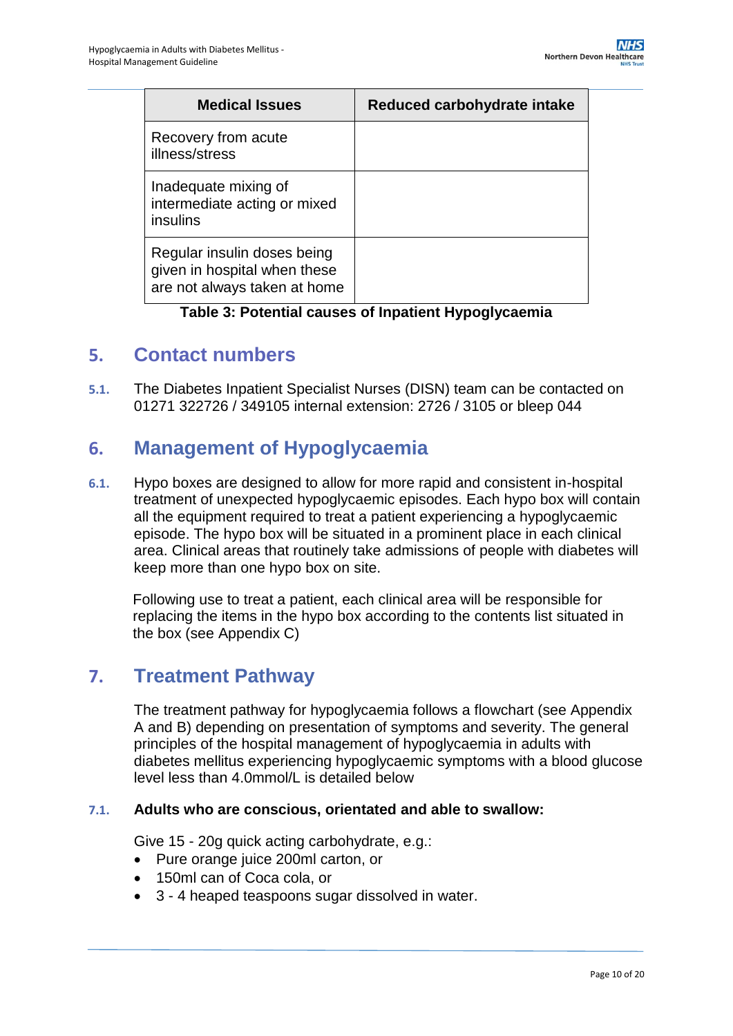| <b>Medical Issues</b>                                                                       | Reduced carbohydrate intake |
|---------------------------------------------------------------------------------------------|-----------------------------|
| Recovery from acute<br>illness/stress                                                       |                             |
| Inadequate mixing of<br>intermediate acting or mixed<br>insulins                            |                             |
| Regular insulin doses being<br>given in hospital when these<br>are not always taken at home |                             |

**Table 3: Potential causes of Inpatient Hypoglycaemia**

### <span id="page-9-0"></span>**5. Contact numbers**

**5.1.** The Diabetes Inpatient Specialist Nurses (DISN) team can be contacted on 01271 322726 / 349105 internal extension: 2726 / 3105 or bleep 044

## <span id="page-9-1"></span>**6. Management of Hypoglycaemia**

**6.1.** Hypo boxes are designed to allow for more rapid and consistent in-hospital treatment of unexpected hypoglycaemic episodes. Each hypo box will contain all the equipment required to treat a patient experiencing a hypoglycaemic episode. The hypo box will be situated in a prominent place in each clinical area. Clinical areas that routinely take admissions of people with diabetes will keep more than one hypo box on site.

Following use to treat a patient, each clinical area will be responsible for replacing the items in the hypo box according to the contents list situated in the box (see Appendix C)

### <span id="page-9-2"></span>**7. Treatment Pathway**

The treatment pathway for hypoglycaemia follows a flowchart (see Appendix A and B) depending on presentation of symptoms and severity. The general principles of the hospital management of hypoglycaemia in adults with diabetes mellitus experiencing hypoglycaemic symptoms with a blood glucose level less than 4.0mmol/L is detailed below

#### **7.1. Adults who are conscious, orientated and able to swallow:**

Give 15 - 20g quick acting carbohydrate, e.g.:

- Pure orange juice 200ml carton, or
- 150ml can of Coca cola, or
- 3 4 heaped teaspoons sugar dissolved in water.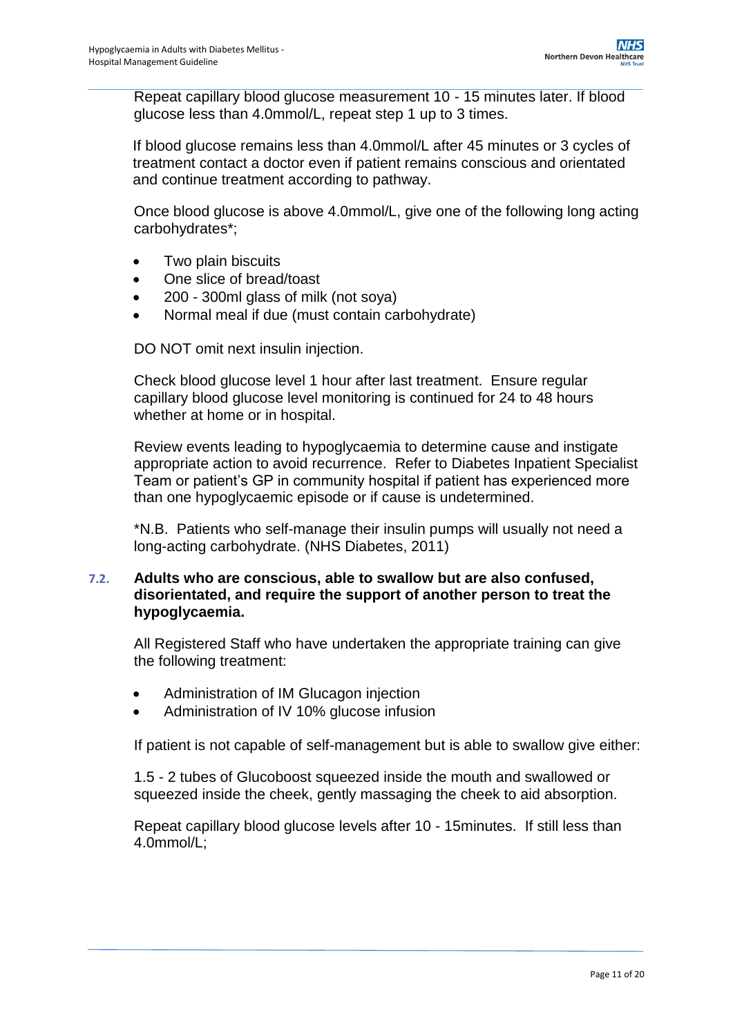Repeat capillary blood glucose measurement 10 - 15 minutes later. If blood glucose less than 4.0mmol/L, repeat step 1 up to 3 times.

If blood glucose remains less than 4.0mmol/L after 45 minutes or 3 cycles of treatment contact a doctor even if patient remains conscious and orientated and continue treatment according to pathway.

Once blood glucose is above 4.0mmol/L, give one of the following long acting carbohydrates\*;

- Two plain biscuits
- One slice of bread/toast
- 200 300ml glass of milk (not soya)
- Normal meal if due (must contain carbohydrate)

DO NOT omit next insulin injection.

Check blood glucose level 1 hour after last treatment. Ensure regular capillary blood glucose level monitoring is continued for 24 to 48 hours whether at home or in hospital.

Review events leading to hypoglycaemia to determine cause and instigate appropriate action to avoid recurrence. Refer to Diabetes Inpatient Specialist Team or patient's GP in community hospital if patient has experienced more than one hypoglycaemic episode or if cause is undetermined.

\*N.B. Patients who self-manage their insulin pumps will usually not need a long-acting carbohydrate. (NHS Diabetes, 2011)

### **7.2. Adults who are conscious, able to swallow but are also confused, disorientated, and require the support of another person to treat the hypoglycaemia.**

All Registered Staff who have undertaken the appropriate training can give the following treatment:

- Administration of IM Glucagon injection
- Administration of IV 10% glucose infusion

If patient is not capable of self-management but is able to swallow give either:

1.5 - 2 tubes of Glucoboost squeezed inside the mouth and swallowed or squeezed inside the cheek, gently massaging the cheek to aid absorption.

Repeat capillary blood glucose levels after 10 - 15minutes. If still less than 4.0mmol/L;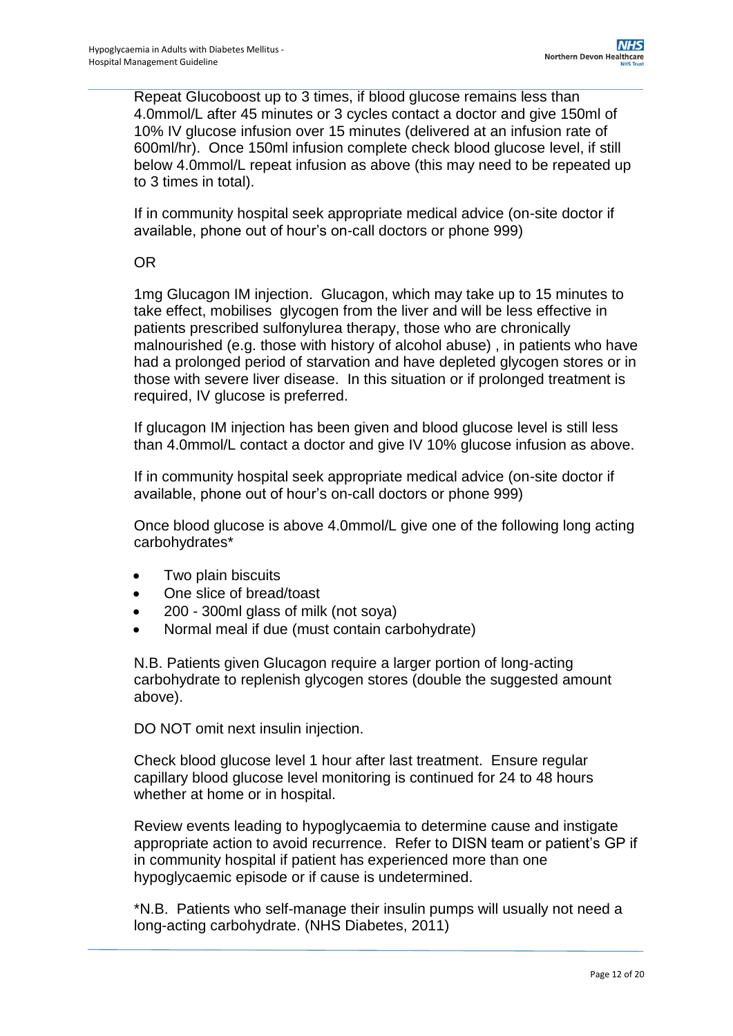Repeat Glucoboost up to 3 times, if blood glucose remains less than 4.0mmol/L after 45 minutes or 3 cycles contact a doctor and give 150ml of 10% IV glucose infusion over 15 minutes (delivered at an infusion rate of 600ml/hr). Once 150ml infusion complete check blood glucose level, if still below 4.0mmol/L repeat infusion as above (this may need to be repeated up to 3 times in total).

If in community hospital seek appropriate medical advice (on-site doctor if available, phone out of hour's on-call doctors or phone 999)

OR

1mg Glucagon IM injection. Glucagon, which may take up to 15 minutes to take effect, mobilises glycogen from the liver and will be less effective in patients prescribed sulfonylurea therapy, those who are chronically malnourished (e.g. those with history of alcohol abuse) , in patients who have had a prolonged period of starvation and have depleted glycogen stores or in those with severe liver disease. In this situation or if prolonged treatment is required, IV glucose is preferred.

If glucagon IM injection has been given and blood glucose level is still less than 4.0mmol/L contact a doctor and give IV 10% glucose infusion as above.

If in community hospital seek appropriate medical advice (on-site doctor if available, phone out of hour's on-call doctors or phone 999)

Once blood glucose is above 4.0mmol/L give one of the following long acting carbohydrates\*

- Two plain biscuits
- One slice of bread/toast
- 200 300ml glass of milk (not soya)
- Normal meal if due (must contain carbohydrate)

N.B. Patients given Glucagon require a larger portion of long-acting carbohydrate to replenish glycogen stores (double the suggested amount above).

DO NOT omit next insulin injection.

Check blood glucose level 1 hour after last treatment. Ensure regular capillary blood glucose level monitoring is continued for 24 to 48 hours whether at home or in hospital.

Review events leading to hypoglycaemia to determine cause and instigate appropriate action to avoid recurrence. Refer to DISN team or patient's GP if in community hospital if patient has experienced more than one hypoglycaemic episode or if cause is undetermined.

\*N.B. Patients who self-manage their insulin pumps will usually not need a long-acting carbohydrate. (NHS Diabetes, 2011)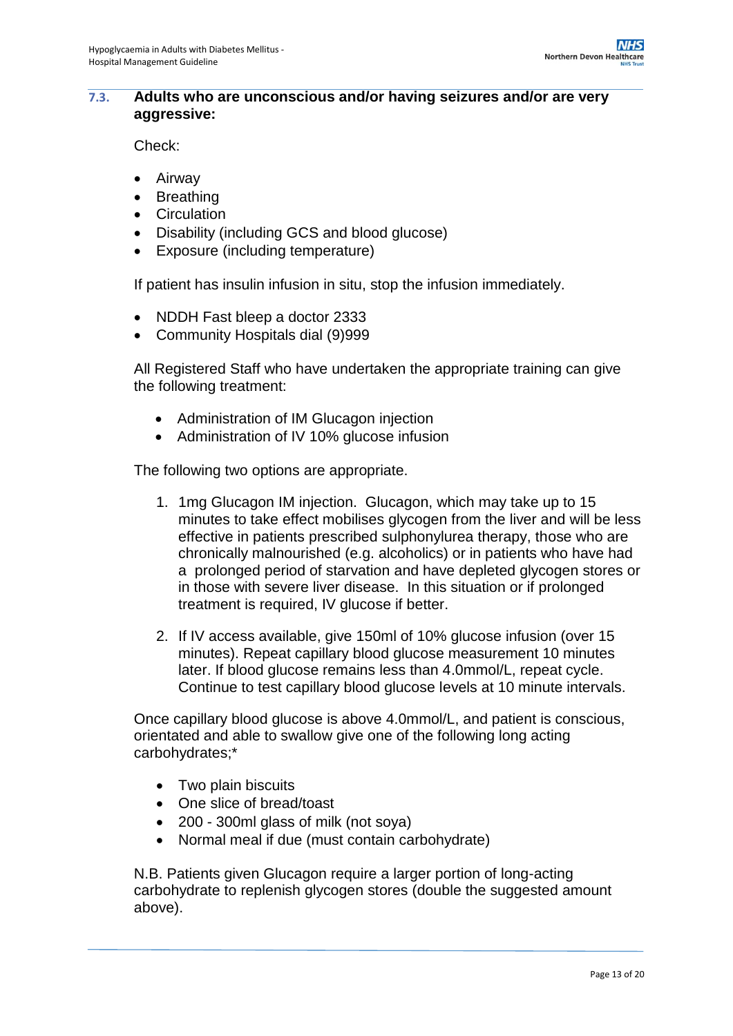#### **7.3. Adults who are unconscious and/or having seizures and/or are very aggressive:**

Check:

- Airway
- Breathing
- Circulation
- Disability (including GCS and blood glucose)
- Exposure (including temperature)

If patient has insulin infusion in situ, stop the infusion immediately.

- NDDH Fast bleep a doctor 2333
- Community Hospitals dial (9)999

All Registered Staff who have undertaken the appropriate training can give the following treatment:

- Administration of IM Glucagon injection
- Administration of IV 10% glucose infusion

The following two options are appropriate.

- 1. 1mg Glucagon IM injection. Glucagon, which may take up to 15 minutes to take effect mobilises glycogen from the liver and will be less effective in patients prescribed sulphonylurea therapy, those who are chronically malnourished (e.g. alcoholics) or in patients who have had a prolonged period of starvation and have depleted glycogen stores or in those with severe liver disease. In this situation or if prolonged treatment is required, IV glucose if better.
- 2. If IV access available, give 150ml of 10% glucose infusion (over 15 minutes). Repeat capillary blood glucose measurement 10 minutes later. If blood glucose remains less than 4.0mmol/L, repeat cycle. Continue to test capillary blood glucose levels at 10 minute intervals.

Once capillary blood glucose is above 4.0mmol/L, and patient is conscious, orientated and able to swallow give one of the following long acting carbohydrates;\*

- Two plain biscuits
- One slice of bread/toast
- 200 300ml glass of milk (not soya)
- Normal meal if due (must contain carbohydrate)

N.B. Patients given Glucagon require a larger portion of long-acting carbohydrate to replenish glycogen stores (double the suggested amount above).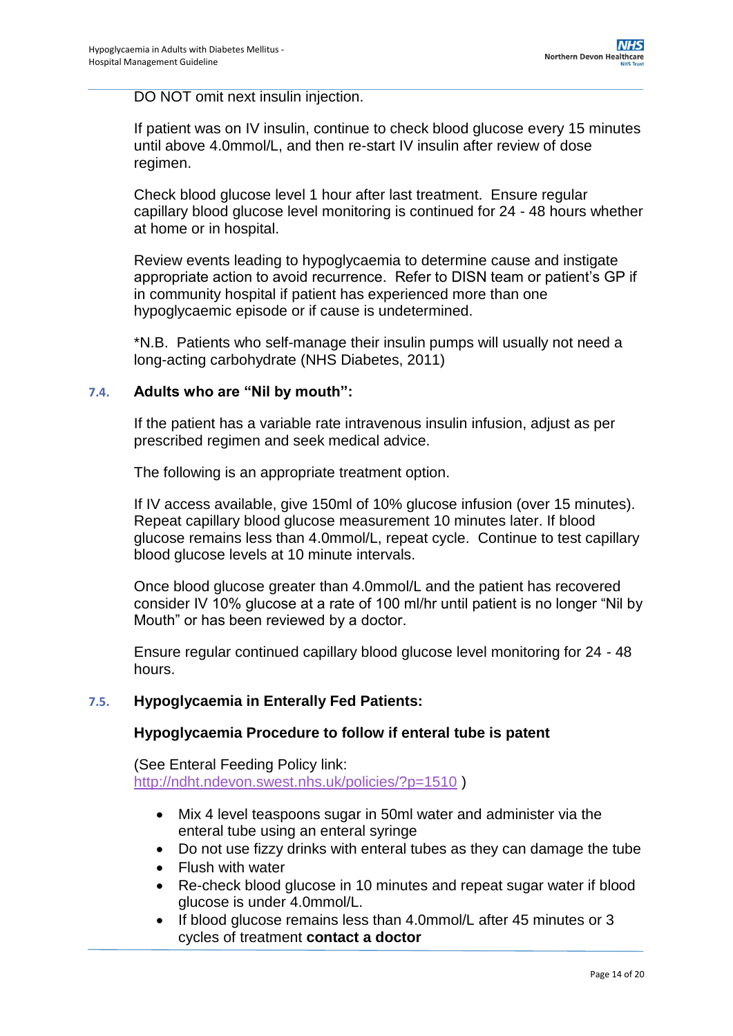DO NOT omit next insulin injection.

If patient was on IV insulin, continue to check blood glucose every 15 minutes until above 4.0mmol/L, and then re-start IV insulin after review of dose regimen.

Check blood glucose level 1 hour after last treatment. Ensure regular capillary blood glucose level monitoring is continued for 24 - 48 hours whether at home or in hospital.

Review events leading to hypoglycaemia to determine cause and instigate appropriate action to avoid recurrence. Refer to DISN team or patient's GP if in community hospital if patient has experienced more than one hypoglycaemic episode or if cause is undetermined.

\*N.B. Patients who self-manage their insulin pumps will usually not need a long-acting carbohydrate (NHS Diabetes, 2011)

#### **7.4. Adults who are "Nil by mouth":**

If the patient has a variable rate intravenous insulin infusion, adjust as per prescribed regimen and seek medical advice.

The following is an appropriate treatment option.

If IV access available, give 150ml of 10% glucose infusion (over 15 minutes). Repeat capillary blood glucose measurement 10 minutes later. If blood glucose remains less than 4.0mmol/L, repeat cycle. Continue to test capillary blood glucose levels at 10 minute intervals.

Once blood glucose greater than 4.0mmol/L and the patient has recovered consider IV 10% glucose at a rate of 100 ml/hr until patient is no longer "Nil by Mouth" or has been reviewed by a doctor.

Ensure regular continued capillary blood glucose level monitoring for 24 - 48 hours.

#### **7.5. Hypoglycaemia in Enterally Fed Patients:**

#### **Hypoglycaemia Procedure to follow if enteral tube is patent**

(See Enteral Feeding Policy link: <http://ndht.ndevon.swest.nhs.uk/policies/?p=1510> )

- Mix 4 level teaspoons sugar in 50ml water and administer via the enteral tube using an enteral syringe
- Do not use fizzy drinks with enteral tubes as they can damage the tube
- Flush with water
- Re-check blood glucose in 10 minutes and repeat sugar water if blood glucose is under 4.0mmol/L.
- If blood glucose remains less than 4.0mmol/L after 45 minutes or 3 cycles of treatment **contact a doctor**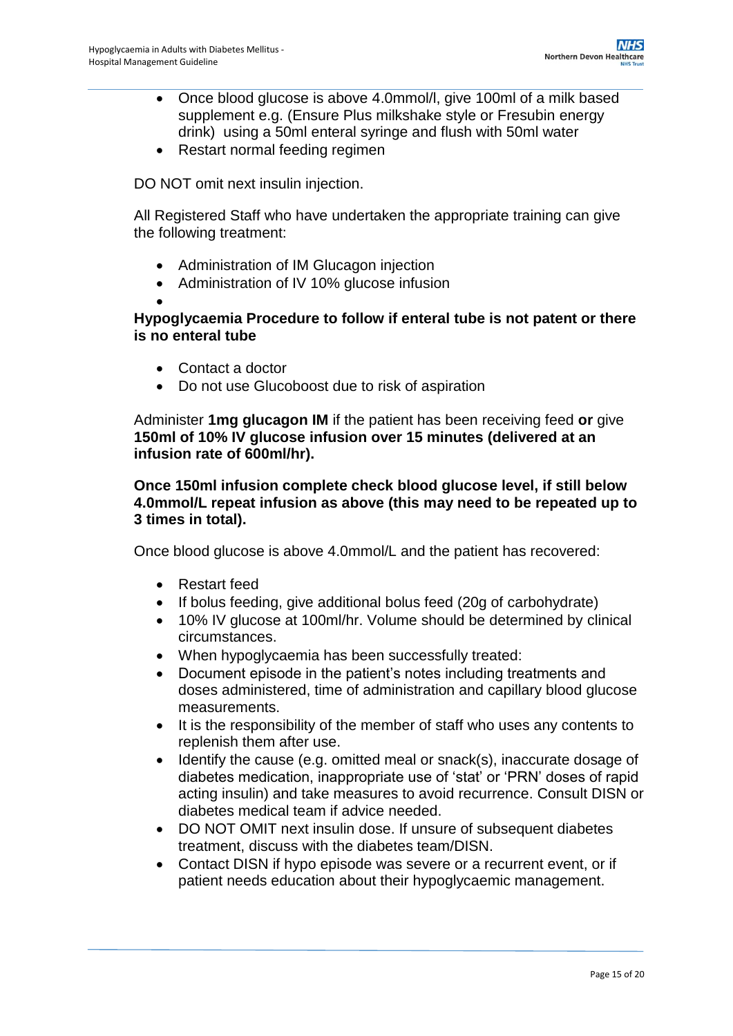- Once blood glucose is above 4.0mmol/l, give 100ml of a milk based supplement e.g. (Ensure Plus milkshake style or Fresubin energy drink) using a 50ml enteral syringe and flush with 50ml water
- Restart normal feeding regimen

DO NOT omit next insulin injection.

All Registered Staff who have undertaken the appropriate training can give the following treatment:

- Administration of IM Glucagon injection
- Administration of IV 10% glucose infusion

#### $\bullet$ **Hypoglycaemia Procedure to follow if enteral tube is not patent or there is no enteral tube**

- Contact a doctor
- Do not use Glucoboost due to risk of aspiration

Administer **1mg glucagon IM** if the patient has been receiving feed **or** give **150ml of 10% IV glucose infusion over 15 minutes (delivered at an infusion rate of 600ml/hr).** 

### **Once 150ml infusion complete check blood glucose level, if still below 4.0mmol/L repeat infusion as above (this may need to be repeated up to 3 times in total).**

Once blood glucose is above 4.0mmol/L and the patient has recovered:

- Restart feed
- If bolus feeding, give additional bolus feed (20g of carbohydrate)
- 10% IV glucose at 100ml/hr. Volume should be determined by clinical circumstances.
- When hypoglycaemia has been successfully treated:
- Document episode in the patient's notes including treatments and doses administered, time of administration and capillary blood glucose measurements.
- It is the responsibility of the member of staff who uses any contents to replenish them after use.
- Identify the cause (e.g. omitted meal or snack(s), inaccurate dosage of diabetes medication, inappropriate use of 'stat' or 'PRN' doses of rapid acting insulin) and take measures to avoid recurrence. Consult DISN or diabetes medical team if advice needed.
- DO NOT OMIT next insulin dose. If unsure of subsequent diabetes treatment, discuss with the diabetes team/DISN.
- Contact DISN if hypo episode was severe or a recurrent event, or if patient needs education about their hypoglycaemic management.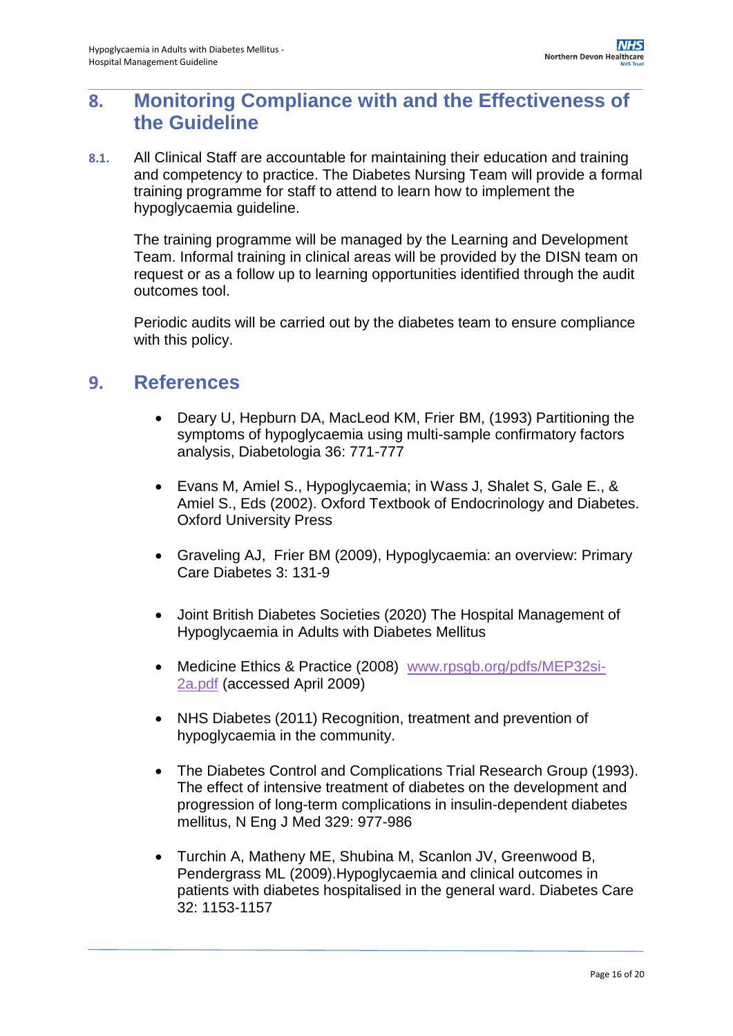# <span id="page-15-0"></span>**8. Monitoring Compliance with and the Effectiveness of the Guideline**

**8.1.** All Clinical Staff are accountable for maintaining their education and training and competency to practice. The Diabetes Nursing Team will provide a formal training programme for staff to attend to learn how to implement the hypoglycaemia guideline.

The training programme will be managed by the Learning and Development Team. Informal training in clinical areas will be provided by the DISN team on request or as a follow up to learning opportunities identified through the audit outcomes tool.

Periodic audits will be carried out by the diabetes team to ensure compliance with this policy.

### <span id="page-15-1"></span>**9. References**

- Deary U, Hepburn DA, MacLeod KM, Frier BM, (1993) Partitioning the symptoms of hypoglycaemia using multi-sample confirmatory factors analysis, Diabetologia 36: 771-777
- Evans M, Amiel S., Hypoglycaemia; in Wass J, Shalet S, Gale E., & Amiel S., Eds (2002). Oxford Textbook of Endocrinology and Diabetes. Oxford University Press
- Graveling AJ, Frier BM (2009), Hypoglycaemia: an overview: Primary Care Diabetes 3: 131-9
- Joint British Diabetes Societies (2020) The Hospital Management of Hypoglycaemia in Adults with Diabetes Mellitus
- Medicine Ethics & Practice (2008) [www.rpsgb.org/pdfs/MEP32si-](http://www.rpsgb.org/pdfs/MEP32si-2a.pdf)[2a.pdf](http://www.rpsgb.org/pdfs/MEP32si-2a.pdf) (accessed April 2009)
- NHS Diabetes (2011) Recognition, treatment and prevention of hypoglycaemia in the community.
- The Diabetes Control and Complications Trial Research Group (1993). The effect of intensive treatment of diabetes on the development and progression of long-term complications in insulin-dependent diabetes mellitus, N Eng J Med 329: 977-986
- Turchin A, Matheny ME, Shubina M, Scanlon JV, Greenwood B, Pendergrass ML (2009).Hypoglycaemia and clinical outcomes in patients with diabetes hospitalised in the general ward. Diabetes Care 32: 1153-1157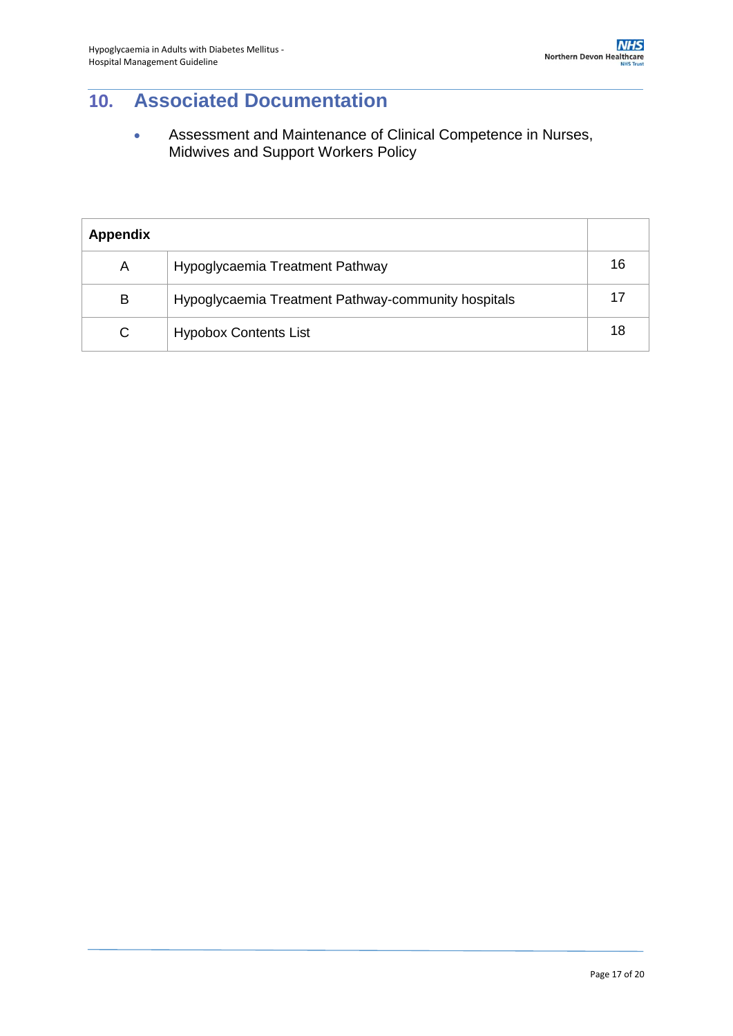# <span id="page-16-0"></span>**10. Associated Documentation**

 Assessment and Maintenance of Clinical Competence in Nurses, Midwives and Support Workers Policy

| <b>Appendix</b> |                                                     |    |
|-----------------|-----------------------------------------------------|----|
| A               | Hypoglycaemia Treatment Pathway                     | 16 |
| B               | Hypoglycaemia Treatment Pathway-community hospitals |    |
| C               | <b>Hypobox Contents List</b>                        | 18 |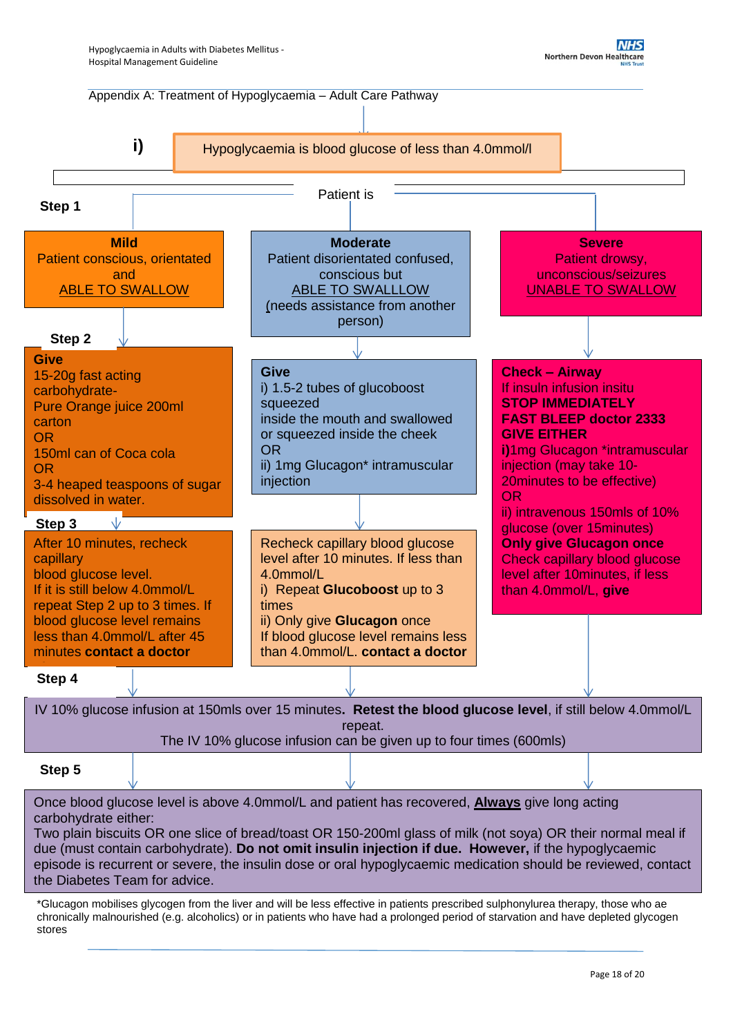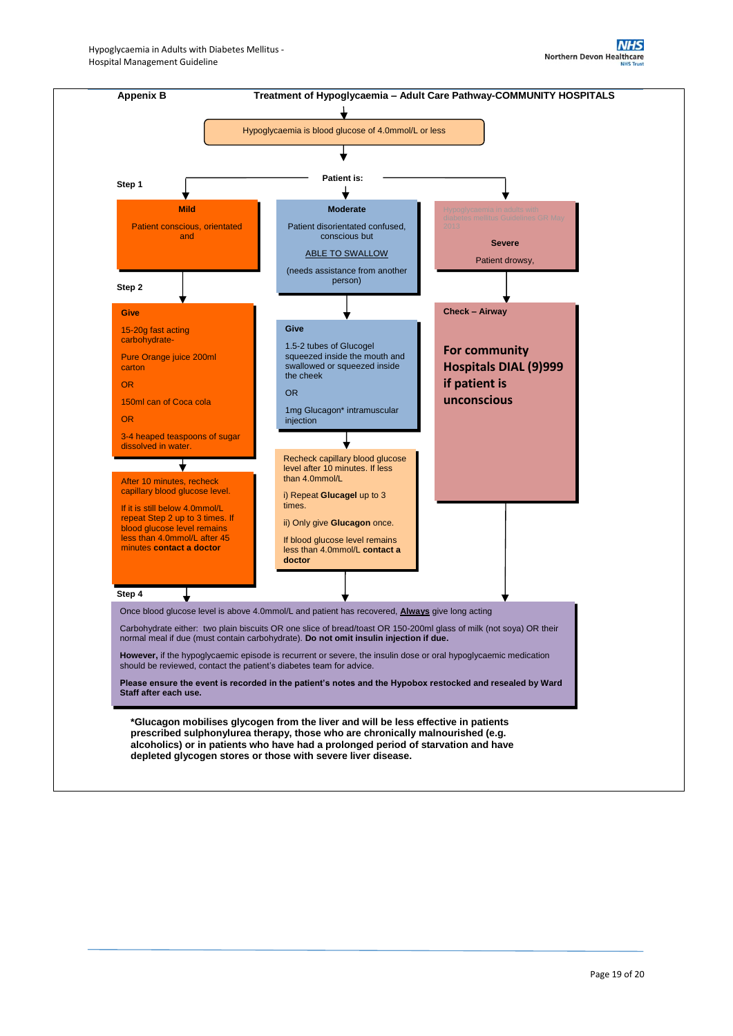